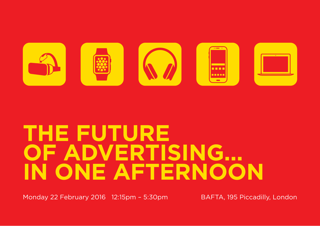

# **THE FUTURE OF ADVERTISING… IN ONE AFTERNOON**

Monday 22 February 2016 12:15pm - 5:30pm BAFTA, 195 Piccadilly, London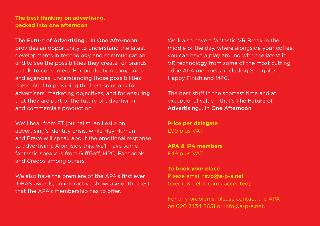**The best thinking on advertising, packed into one afternoon**

#### The Future of Advertising… In One Afternoon

provides an opportunity to understand the latest developments in technology and communication, and to see the possibilities they create for brands to talk to consumers. For production companies and agencies, understanding those possibilities is essential to providing the best solutions for advertisers' marketing objectives, and for ensuring that they are part of the future of advertising and commercials production.

We'll hear from FT journalist Ian Leslie on advertising's identity crisis, while Hey Human and Brave will speak about the emotional response to advertising. Alongside this, we'll have some fantastic speakers from GiffGaff, MPC, Facebook and Credos among others.

We also have the premiere of the APA's first ever IDEAS awards, an interactive showcase of the best that the APA's membership has to offer.

We'll also have a fantastic VR Break in the middle of the day, where alongside your coffee, you can have a play around with the latest in VR technology from some of the most cutting edge APA members, including Smuggler, Happy Finish and MPC.

The best stuff in the shortest time and at exceptional value – that's The Future of Advertising… In One Afternoon.

**Price per delegate**  £99 plus VAT

**APA & IPA members** £49 plus VAT

**To book your place**  Please email rsvp@a-p-a.net (credit & debit cards accepted)

For any problems, please contact the APA on 020 7434 2651 or info@a-p-a.net.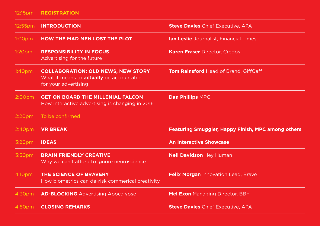### 12:15pm **REGISTRATION**

| 12:55pm            | <b>INTRODUCTION</b>                                                                                                  | <b>Steve Davies Chief Executive, APA</b>                  |
|--------------------|----------------------------------------------------------------------------------------------------------------------|-----------------------------------------------------------|
| 1:00 <sub>pm</sub> | <b>HOW THE MAD MEN LOST THE PLOT</b>                                                                                 | <b>Ian Leslie</b> Journalist, Financial Times             |
| 1:20 <sub>pm</sub> | <b>RESPONSIBILITY IN FOCUS</b><br>Advertising for the future                                                         | <b>Karen Fraser Director, Credos</b>                      |
| 1:40 <sub>pm</sub> | <b>COLLABORATION: OLD NEWS, NEW STORY</b><br>What it means to <b>actually</b> be accountable<br>for your advertising | <b>Tom Rainsford</b> Head of Brand, GiffGaff              |
| 2:00 <sub>pm</sub> | <b>GET ON BOARD THE MILLENIAL FALCON</b><br>How interactive advertising is changing in 2016                          | <b>Dan Phillips MPC</b>                                   |
| 2:20 <sub>pm</sub> | To be confirmed                                                                                                      |                                                           |
| 2:40 <sub>pm</sub> | <b>VR BREAK</b>                                                                                                      | <b>Featuring Smuggler, Happy Finish, MPC among others</b> |
| 3:20 <sub>pm</sub> | <b>IDEAS</b>                                                                                                         | <b>An Interactive Showcase</b>                            |
| 3:50 <sub>pm</sub> | <b>BRAIN FRIENDLY CREATIVE</b><br>Why we can't afford to ignore neuroscience                                         | <b>Neil Davidson Hey Human</b>                            |
| 4:10pm             | THE SCIENCE OF BRAVERY<br>How biometrics can de-risk commerical creativity                                           | Felix Morgan Innovation Lead, Brave                       |
| 4:30pm             | <b>AD-BLOCKING</b> Advertising Apocalypse                                                                            | <b>Mel Exon</b> Managing Director, BBH                    |
| 4:50 <sub>pm</sub> | <b>CLOSING REMARKS</b>                                                                                               | <b>Steve Davies Chief Executive, APA</b>                  |